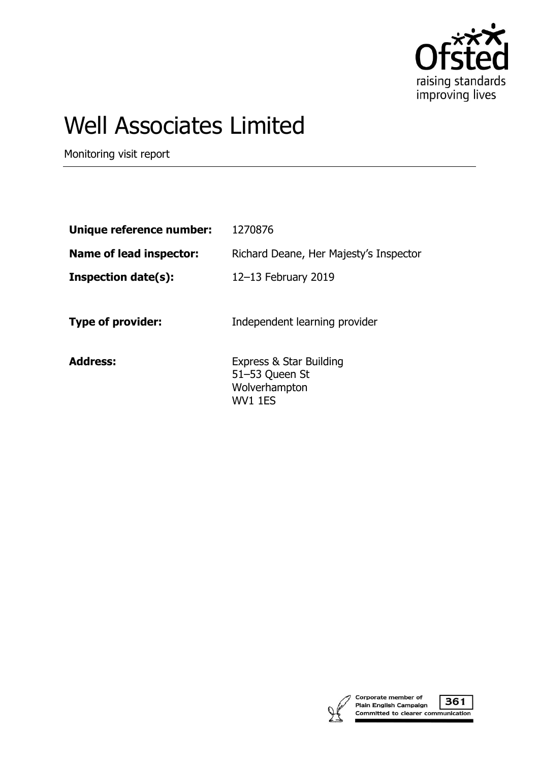

# Well Associates Limited

Monitoring visit report

| Unique reference number:       | 1270876                                                                      |
|--------------------------------|------------------------------------------------------------------------------|
| <b>Name of lead inspector:</b> | Richard Deane, Her Majesty's Inspector                                       |
| <b>Inspection date(s):</b>     | 12-13 February 2019                                                          |
| <b>Type of provider:</b>       | Independent learning provider                                                |
| <b>Address:</b>                | Express & Star Building<br>51-53 Queen St<br>Wolverhampton<br><b>WV1 1ES</b> |



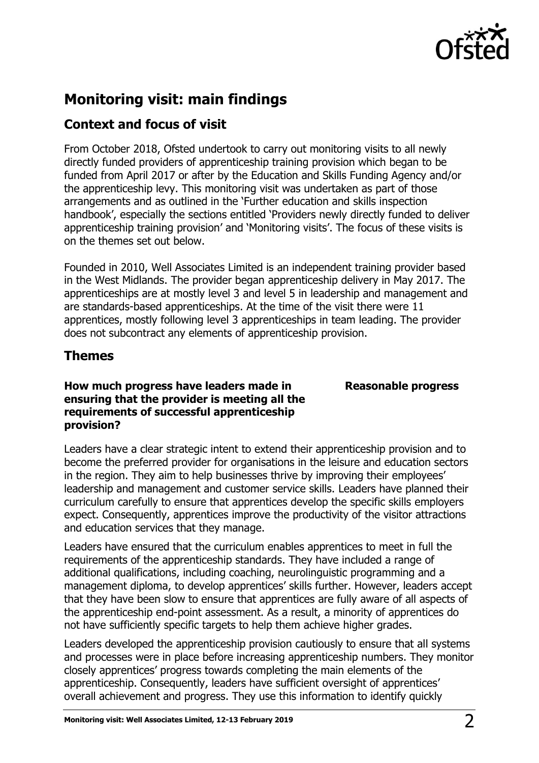

# **Monitoring visit: main findings**

# **Context and focus of visit**

From October 2018, Ofsted undertook to carry out monitoring visits to all newly directly funded providers of apprenticeship training provision which began to be funded from April 2017 or after by the Education and Skills Funding Agency and/or the apprenticeship levy. This monitoring visit was undertaken as part of those arrangements and as outlined in the 'Further education and skills inspection handbook', especially the sections entitled 'Providers newly directly funded to deliver apprenticeship training provision' and 'Monitoring visits'. The focus of these visits is on the themes set out below.

Founded in 2010, Well Associates Limited is an independent training provider based in the West Midlands. The provider began apprenticeship delivery in May 2017. The apprenticeships are at mostly level 3 and level 5 in leadership and management and are standards-based apprenticeships. At the time of the visit there were 11 apprentices, mostly following level 3 apprenticeships in team leading. The provider does not subcontract any elements of apprenticeship provision.

## **Themes**

## **How much progress have leaders made in ensuring that the provider is meeting all the requirements of successful apprenticeship provision?**

**Reasonable progress**

Leaders have a clear strategic intent to extend their apprenticeship provision and to become the preferred provider for organisations in the leisure and education sectors in the region. They aim to help businesses thrive by improving their employees' leadership and management and customer service skills. Leaders have planned their curriculum carefully to ensure that apprentices develop the specific skills employers expect. Consequently, apprentices improve the productivity of the visitor attractions and education services that they manage.

Leaders have ensured that the curriculum enables apprentices to meet in full the requirements of the apprenticeship standards. They have included a range of additional qualifications, including coaching, neurolinguistic programming and a management diploma, to develop apprentices' skills further. However, leaders accept that they have been slow to ensure that apprentices are fully aware of all aspects of the apprenticeship end-point assessment. As a result, a minority of apprentices do not have sufficiently specific targets to help them achieve higher grades.

Leaders developed the apprenticeship provision cautiously to ensure that all systems and processes were in place before increasing apprenticeship numbers. They monitor closely apprentices' progress towards completing the main elements of the apprenticeship. Consequently, leaders have sufficient oversight of apprentices' overall achievement and progress. They use this information to identify quickly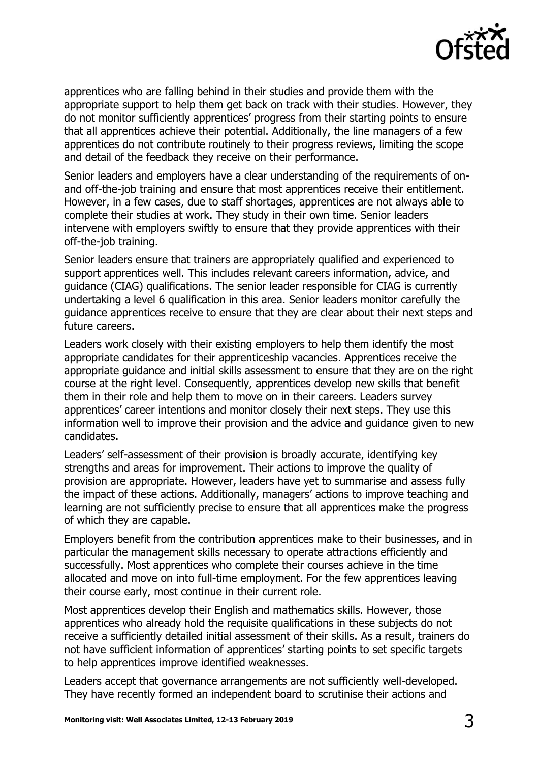

apprentices who are falling behind in their studies and provide them with the appropriate support to help them get back on track with their studies. However, they do not monitor sufficiently apprentices' progress from their starting points to ensure that all apprentices achieve their potential. Additionally, the line managers of a few apprentices do not contribute routinely to their progress reviews, limiting the scope and detail of the feedback they receive on their performance.

Senior leaders and employers have a clear understanding of the requirements of onand off-the-job training and ensure that most apprentices receive their entitlement. However, in a few cases, due to staff shortages, apprentices are not always able to complete their studies at work. They study in their own time. Senior leaders intervene with employers swiftly to ensure that they provide apprentices with their off-the-job training.

Senior leaders ensure that trainers are appropriately qualified and experienced to support apprentices well. This includes relevant careers information, advice, and guidance (CIAG) qualifications. The senior leader responsible for CIAG is currently undertaking a level 6 qualification in this area. Senior leaders monitor carefully the guidance apprentices receive to ensure that they are clear about their next steps and future careers.

Leaders work closely with their existing employers to help them identify the most appropriate candidates for their apprenticeship vacancies. Apprentices receive the appropriate guidance and initial skills assessment to ensure that they are on the right course at the right level. Consequently, apprentices develop new skills that benefit them in their role and help them to move on in their careers. Leaders survey apprentices' career intentions and monitor closely their next steps. They use this information well to improve their provision and the advice and guidance given to new candidates.

Leaders' self-assessment of their provision is broadly accurate, identifying key strengths and areas for improvement. Their actions to improve the quality of provision are appropriate. However, leaders have yet to summarise and assess fully the impact of these actions. Additionally, managers' actions to improve teaching and learning are not sufficiently precise to ensure that all apprentices make the progress of which they are capable.

Employers benefit from the contribution apprentices make to their businesses, and in particular the management skills necessary to operate attractions efficiently and successfully. Most apprentices who complete their courses achieve in the time allocated and move on into full-time employment. For the few apprentices leaving their course early, most continue in their current role.

Most apprentices develop their English and mathematics skills. However, those apprentices who already hold the requisite qualifications in these subjects do not receive a sufficiently detailed initial assessment of their skills. As a result, trainers do not have sufficient information of apprentices' starting points to set specific targets to help apprentices improve identified weaknesses.

Leaders accept that governance arrangements are not sufficiently well-developed. They have recently formed an independent board to scrutinise their actions and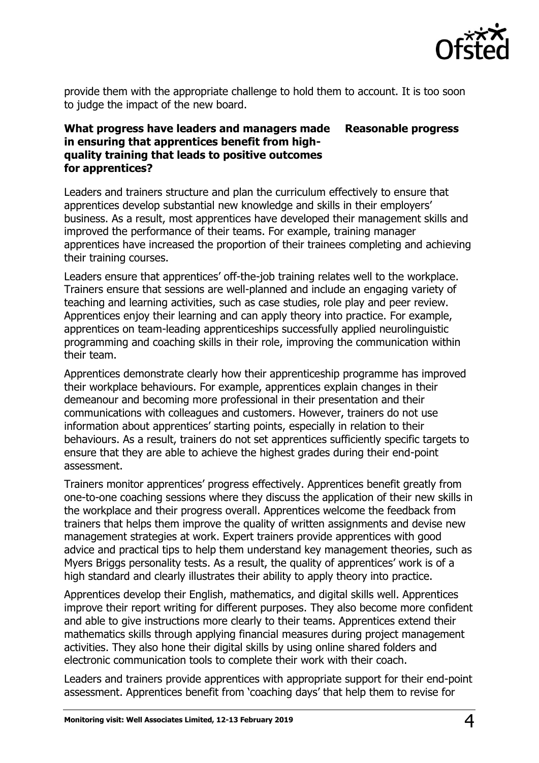

provide them with the appropriate challenge to hold them to account. It is too soon to judge the impact of the new board.

## **What progress have leaders and managers made in ensuring that apprentices benefit from highquality training that leads to positive outcomes for apprentices? Reasonable progress**

Leaders and trainers structure and plan the curriculum effectively to ensure that apprentices develop substantial new knowledge and skills in their employers' business. As a result, most apprentices have developed their management skills and improved the performance of their teams. For example, training manager apprentices have increased the proportion of their trainees completing and achieving their training courses.

Leaders ensure that apprentices' off-the-job training relates well to the workplace. Trainers ensure that sessions are well-planned and include an engaging variety of teaching and learning activities, such as case studies, role play and peer review. Apprentices enjoy their learning and can apply theory into practice. For example, apprentices on team-leading apprenticeships successfully applied neurolinguistic programming and coaching skills in their role, improving the communication within their team.

Apprentices demonstrate clearly how their apprenticeship programme has improved their workplace behaviours. For example, apprentices explain changes in their demeanour and becoming more professional in their presentation and their communications with colleagues and customers. However, trainers do not use information about apprentices' starting points, especially in relation to their behaviours. As a result, trainers do not set apprentices sufficiently specific targets to ensure that they are able to achieve the highest grades during their end-point assessment.

Trainers monitor apprentices' progress effectively. Apprentices benefit greatly from one-to-one coaching sessions where they discuss the application of their new skills in the workplace and their progress overall. Apprentices welcome the feedback from trainers that helps them improve the quality of written assignments and devise new management strategies at work. Expert trainers provide apprentices with good advice and practical tips to help them understand key management theories, such as Myers Briggs personality tests. As a result, the quality of apprentices' work is of a high standard and clearly illustrates their ability to apply theory into practice.

Apprentices develop their English, mathematics, and digital skills well. Apprentices improve their report writing for different purposes. They also become more confident and able to give instructions more clearly to their teams. Apprentices extend their mathematics skills through applying financial measures during project management activities. They also hone their digital skills by using online shared folders and electronic communication tools to complete their work with their coach.

Leaders and trainers provide apprentices with appropriate support for their end-point assessment. Apprentices benefit from 'coaching days' that help them to revise for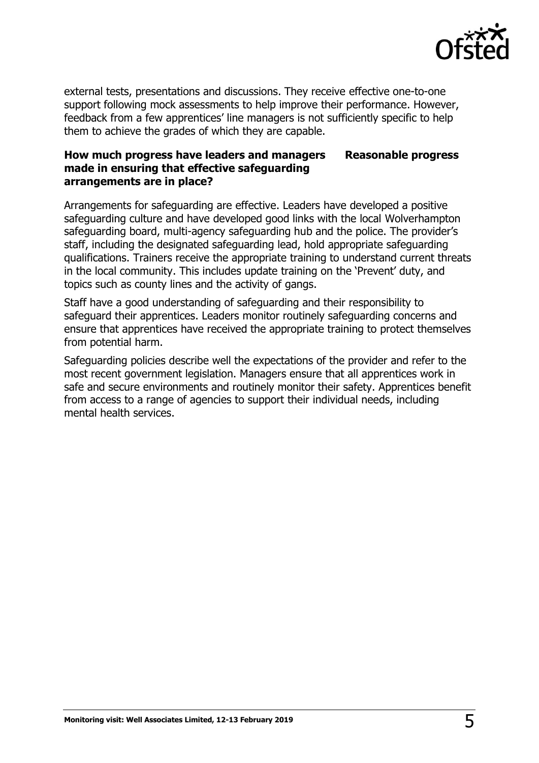

external tests, presentations and discussions. They receive effective one-to-one support following mock assessments to help improve their performance. However, feedback from a few apprentices' line managers is not sufficiently specific to help them to achieve the grades of which they are capable.

#### **How much progress have leaders and managers made in ensuring that effective safeguarding arrangements are in place? Reasonable progress**

Arrangements for safeguarding are effective. Leaders have developed a positive safeguarding culture and have developed good links with the local Wolverhampton safeguarding board, multi-agency safeguarding hub and the police. The provider's staff, including the designated safeguarding lead, hold appropriate safeguarding qualifications. Trainers receive the appropriate training to understand current threats in the local community. This includes update training on the 'Prevent' duty, and topics such as county lines and the activity of gangs.

Staff have a good understanding of safeguarding and their responsibility to safeguard their apprentices. Leaders monitor routinely safeguarding concerns and ensure that apprentices have received the appropriate training to protect themselves from potential harm.

Safeguarding policies describe well the expectations of the provider and refer to the most recent government legislation. Managers ensure that all apprentices work in safe and secure environments and routinely monitor their safety. Apprentices benefit from access to a range of agencies to support their individual needs, including mental health services.